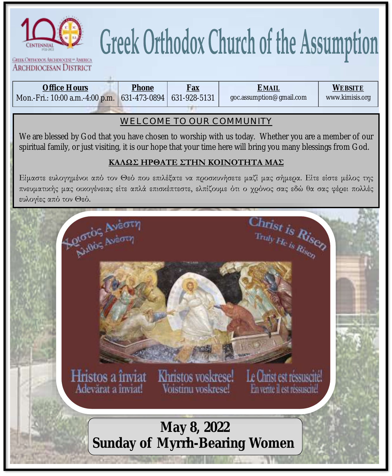

# **Greek Orthodox Church of the Assumption**

GREEK ORTHODOX ABCHDIOCESE OF AMERICA **ARCHDIOCESAN DISTRICT** 

| goc.assumption@gmail.com<br>Mon.-Fri.: 10:00 a.m.-4:00 p.m. 631-473-0894   631-928-5131 | Office Hours | Phone | Fax | <b>EMAIL</b> | Website         |
|-----------------------------------------------------------------------------------------|--------------|-------|-----|--------------|-----------------|
|                                                                                         |              |       |     |              | www.kimisis.org |

#### **WELCOME TO OUR COMMUNITY**

We are blessed by God that you have chosen to worship with us today. Whether you are a member of our spiritual family, or just visiting, it is our hope that your time here will bring you many blessings from God.

#### **ΚΑΛΩΣ ΗΡΘΑΤΕ ΣΤΗΝ ΚΟΙΝΟΤΗΤΑ ΜΑΣ**

Είμαστε ευλογημένοι από τον Θεό που επιλέξατε να προσκυνήσετε μαζί μας σήμερα. Είτε είστε μέλος της πνευματικής μας οικογένειας είτε απλά επισκέπτεστε, ελπίζουμε ότι ο χρόνος σας εδώ θα σας φέρει πολλές ευλογίες από τον Θεό.

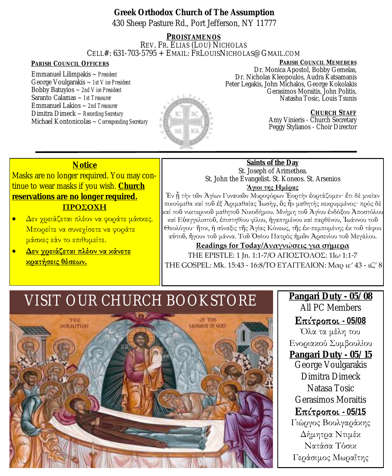**Greek Orthodox Church of The Assumption** 430 Sheep Pasture Rd., Port Jefferson, NY 11777

**PROISTAMENOS** REV. FR. ELIAS (LOU) NICHOLAS CELL#: 631-703-5795 + EMAIL: FRLOUISNICHOLAS@GMAIL.COM

Emmanuel Lilimpakis ~ *President* George Voulgarakis ~ *1st Vice President* Bobby Batuyios ~ *2nd Vice President* Saranto Calamas ~ *1st Treasurer* Emmanuel Lakios ~ *2nd Treasurer* Dimitra Dimeck ~ *Recording Secretary* Michael Kontonicolas ~ *Corresponding Secretary* 



**PARISH COUNCIL OFFICERS PARISH COUNCIL MEMEBERS** Dr. Monica Apostol, Bobby Gemelas, Dr. Nicholas Kleopoulos, Audra Katsamanis Peter Legakis, John Michalos, George Kokolakis Gerasimos Moraitis, John Politis, Natasha Tosic, Louis Tsunis

> **CHURCH STAFF** Amy Vinieris - Church Secretary Peggy Stylianos - Choir Director

#### **Notice**

Masks are no longer required. You may continue to wear masks if you wish. **Church reservations are no longer required.**

#### **ΠΡΟΣΟΧΗ**

- Δεν χρειάζεται πλέον να φοράτε μάσκες. Μπορείτε να συνεχίσετε να φοράτε μάσκες εάν το επιθυμείτε.
- **Δεν χρειάζεται πλέον να κάνετε κρατήσεις θέσεων.**

#### **Saints of the Day** St. Joseph of Arimethea. St. John the Evangelist. St. Koneos. St. Arsenios

#### **Άγιοι της Ημέρας**

Ἐν ᾗ τήν τῶν Ἁγίων Γυναικῶν Μυροφόρων Ἑορτήν ἑορτάζομεν· ἔτι δέ μνείαν ποιούμεθα καί τοῦ ἐξ Ἀριμαθαίας Ἰωσήφ, ὅς ἦν μαθητής κεκρυμμένος· πρός δέ καί τοῦ νυκτερινοῦ μαθητοῦ Νικοδήμου. Μνήμη τοῦ Ἁγίου ἐνδόξου Ἀποστόλου καί Εὐαγγελιστοῦ, ἐπιστηθίου φίλου, ἠγαπημένου καί παρθένου, Ἰωάννου τοῦ Θεολόγου· ἤτοι, ἡ σύναξις τῆς Ἁγίας Κόνεως, τῆς ἐκπεμπομένης ἐκ τοῦ τάφου αὐτοῦ, ἤγουν τοῦ μάννα. Τοῦ Ὁσίου Πατρός ἡμῶν Ἀρσενίου τοῦ Μεγάλου.

#### **Readings for Today/Αναγνώσεις για σήμερα**

ΤΗΕ EPISTLE: 1 Jn. 1:1-7/Ο ΑΠΟΣΤΟΛΟΣ: 1Ιω 1:1-7 THE GOSPEL: Mk. 15:43 - 16:8/ΤΟ ΕΥΑΓΓΕΛΙΟΝ: Μαρ ιε' 43 - ιζ' 8

### VISIT OUR CHURCH BOOKSTORE



#### **Pangari Duty - 05/08** All PC Members

**Επίτροποι** - 05/08 Όλα τα μέλη του Ενοριακού Συμβουλίου **Pangari Duty - 05/15** George Voulgarakis Dimitra Dimeck Natasa Tosic Gerasimos Moraitis **<u>Επίτροποι - 05/15</u>** Γιώργος Βουλγαράκης Δήμητρα Ντιμέκ Νατάσα Τόσικ Γεράσιμος Μωραΐτης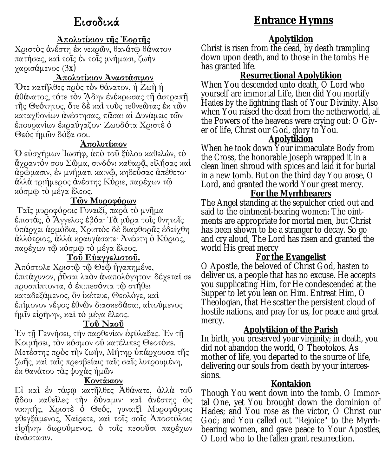#### **Ἀπολυτίκιον τῆς Ἑορτῆς**

Χριστὸς ἀνέστη ἐκ νεκρῶν, θανάτῳ θάνατον πατήσας, καὶ τοῖς ἐν τοῖς μνήμασι, ζωὴν χαρισάμενος (3x)

#### **Ἀπολυτίκιον Ἀναστάσιμον**

Ὅτε κατῆλθες πρὸς τὸν θάνατον, ἡ Ζωὴ ἡ ἀθάνατος, τότε τὸν ᾍδην ἐνέκρωσας τῇ ἀστραπῇ τῆς Θεότητος, ὅτε δὲ καὶ τοὺς τεθνεῶτας ἐκ τῶν καταχθονίων ἀνέστησας, πᾶσαι αἱ Δυνάμεις τῶν ἐπουρανίων ἐκραύγαζον· Ζωοδότα Χριστὲ ὁ Θεὸς ἡμῶν δόξα σοι.

#### **Ἀπολυτίκιον**

Ὁ εὐσχήμων Ἰωσήφ, ἀπὸ τοῦ ξύλου καθελών, τὸ ἄχραντόν σου Σῶμα, σινδόνι καθαρᾷ, εἰλήσας καὶ ἀρώμασιν, ἐν μνήματι καινῷ, κηδεύσας ἀπέθετο· ἀλλὰ τριήμερος ἀνέστης Κύριε, παρέχων τῷ κόσμῳ τὸ μέγα ἔλεος.

#### **Τῶν Μυροφόρων**

Ταῖς μυροφόροις Γυναιξί, παρὰ τὸ μνῆμα ἐπιστάς, ὁ Ἄγγελος ἐβόα· Τὰ μύρα τοῖς θνητοῖς ὑπάρχει ἁρμόδια, Χριστὸς δὲ διαφθορᾶς ἐδείχθη ἀλλότριος, ἀλλὰ κραυγάσατε· Ἀνέστη ὁ Κύριος, παρέχων τῷ κόσμῳ τὸ μέγα ἔλεος.

#### **Τοῦ Εὐαγγελιστοῦ.**

Ἀπόστολε Χριστῷ τῷ Θεῷ ἠγαπημένε, ἐπιτάχυνον, ῥῦσαι λαὸν ἀναπολόγητον· δέχεταί σε προσπίπτοντα, ὁ ἐπιπεσόντα τῷ στήθει καταδεξάμενος, ὃν ἱκέτευε, Θεολόγε, καὶ ἐπίμονον νέφος ἐθνῶν διασκεδάσαι, αἰτούμενος ἡμῖν εἰρήνην, καὶ τὸ μέγα ἔλεος.

#### **Τοῦ Ναοῦ**

Ἐν τῇ Γεννήσει, τὴν παρθενίαν ἐφύλαξας. Ἐν τῇ Κοιμήσει, τὸν κόσμον οὐ κατέλιπες Θεοτόκε. Μετέστης πρὸς τὴν ζωήν, Μήτηρ ὑπάρχουσα τῆς ζωῆς, καὶ ταῖς πρεσβείαις ταῖς σαῖς λυτρουμένη, ἐκ θανάτου τὰς ψυχὰς ἡμῶν

#### **Κοντάκιον**

Εἰ καὶ ἐν τάφῳ κατῆλθες Ἀθάνατε, ἀλλὰ τοῦ ᾅδου καθεῖλες τὴν δύναμιν· καὶ ἀνέστης ὡς νικητής, Χριστὲ ὁ Θεός, γυναιξὶ Μυροφόροις φθεγξάμενος, Χαίρετε, καὶ τοῖς σοῖς Ἀποστόλοις εἰρήνην δωρούμενος, ὁ τοῖς πεσοῦσι παρέχων ἀνάστασιν.

#### **Entrance Hymns**

#### **Apolytikion**

Christ is risen from the dead, by death trampling down upon death, and to those in the tombs He has granted life.

#### **Resurrectional Apolytikion**

When You descended unto death, O Lord who yourself are immortal Life, then did You mortify Hades by the lightning flash of Your Divinity. Also when You raised the dead from the netherworld, all the Powers of the heavens were crying out: O Giver of life, Christ our God, glory to You.

#### **Apolytikion**

When he took down Your immaculate Body from the Cross, the honorable Joseph wrapped it in a clean linen shroud with spices and laid it for burial in a new tomb. But on the third day You arose, O Lord, and granted the world Your great mercy.

#### **For the Myrrhbearers**

The Angel standing at the sepulcher cried out and said to the ointment-bearing women: The ointments are appropriate for mortal men, but Christ has been shown to be a stranger to decay. So go and cry aloud, The Lord has risen and granted the world His great mercy

#### **For the Evangelist**

O Apostle, the beloved of Christ God, hasten to deliver us, a people that has no excuse. He accepts you supplicating Him, for He condescended at the Supper to let you lean on Him. Entreat Him, O Theologian, that He scatter the persistent cloud of hostile nations, and pray for us, for peace and great mercy.

#### **Apolytikion of the Parish**

In birth, you preserved your virginity; in death, you did not abandon the world, O Theotokos. As mother of life, you departed to the source of life, delivering our souls from death by your intercessions.

#### **Kontakion**

Though You went down into the tomb, O Immortal One, yet You brought down the dominion of Hades; and You rose as the victor, O Christ our God; and You called out "Rejoice" to the Myrrhbearing women, and gave peace to Your Apostles, O Lord who to the fallen grant resurrection.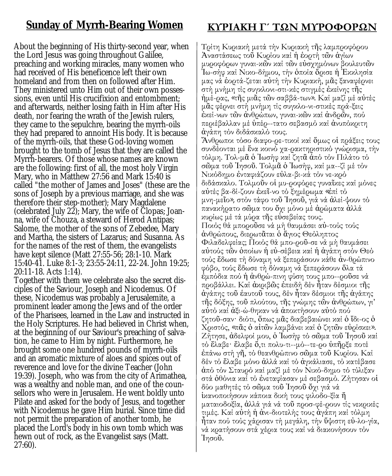#### **Sunday of Myrrh-Bearing Women**

About the beginning of His thirty-second year, when the Lord Jesus was going throughout Galilee, preaching and working miracles, many women who had received of His beneficence left their own homeland and from then on followed after Him. They ministered unto Him out of their own possessions, even until His crucifixion and entombment; and afterwards, neither losing faith in Him after His death, nor fearing the wrath of the Jewish rulers, they came to the sepulchre, bearing the myrrh-oils they had prepared to annoint His body. It is because of the myrrh-oils, that these God-loving women brought to the tomb of Jesus that they are called the Myrrh-bearers. Of those whose names are known are the following: first of all, the most holy Virgin Mary, who in Matthew 27:56 and Mark 15:40 is called "the mother of James and Joses" (these are the sons of Joseph by a previous marriage, and she was therefore their step-mother); Mary Magdalene (celebrated July 22); Mary, the wife of Clopas; Joanna, wife of Chouza, a steward of Herod Antipas; Salome, the mother of the sons of Zebedee, Mary and Martha, the sisters of Lazarus; and Susanna. As for the names of the rest of them, the evangelists have kept silence (Matt 27:55-56; 28:1-10. Mark 15:40-41. Luke 8:1-3; 23:55-24:11, 22-24. John 19:25; 20:11-18. Acts 1:14).

Together with them we celebrate also the secret disciples of the Saviour, Joseph and Nicodemus. Of these, Nicodemus was probably a Jerusalemite, a prominent leader among the Jews and of the order of the Pharisees, learned in the Law and instructed in the Holy Scriptures. He had believed in Christ when, at the beginning of our Saviour's preaching of salvation, he came to Him by night. Furthermore, he brought some one hundred pounds of myrrh-oils and an aromatic mixture of aloes and spices out of reverence and love for the divine Teacher (John 19:39). Joseph, who was from the city of Arimathea, was a wealthy and noble man, and one of the counsellors who were in Jerusalem. He went boldly unto Pilate and asked for the body of Jesus, and together with Nicodemus he gave Him burial. Since time did not permit the preparation of another tomb, he placed the Lord's body in his own tomb which was hewn out of rock, as the Evangelist says (Matt. 27:60).

#### **ΚΥΡΙΑΚΗ Γ´ ΤΩΝ ΜΥΡΟΦΟΡΩΝ**

Τρίτη Κυριακή μετά τήν Κυριακή τῆς λαμπροφόρου Ἀναστάσεως τοῦ Κυρίου καί ἡ ἑορτή τῶν ἁγίων μυροφόρων γυναικῶν καί τῶν εὐσχημόνων βουλευτῶν Ἰωσήφ καί Νικοδήμου, τήν ὁποία ὅρισε ἡ Ἐκκλησία μας νά ἑορτά-ζεται αὐτή τήν Κυριακή, μᾶς ξαναφέρνει στή μνήμη τίς συγκλονι-στι-κές στιγμές έκείνης τῆς ήμέ-ρας, «τῆς μιᾶς τῶν σαββά-των». Καί μαζί μέ αὐτές μᾶς φέρνει στή μνήμη τίς συγκλο-νι-στικές πρά-ξεις έκεί-νων τῶν ἀνθρώπων, γυναι-κῶν καί ἀνδρῶν, πού περιέβαλλαν μέ ὑπέρ--τατο σεβασμό καί ἀνυπόκριτη ἀγάπη τόν διδάσκαλό τους.

Ἄνθρωποι τόσο διαφορετικοί καί ὅμως οἱ πράξεις τους συνδέονται μέ ἕνα κοινό χαρακτηριστικό γνώρισμα, τήν τόλμη. Τολμᾶ ὁ Ἰωσήφ καί ζητᾶ ἀπό τόν Πιλάτο τό σῶμα τοῦ Ἰησοῦ. Τολμᾶ ὁ Ἰωσήφ, καί μα--ζί μέ τόν Νικόδημο ἐνταφιάζουν εὐλα-βι-κά τόν νε-κρό διδάσκαλο. Τολμοῦν οἱ μυ-ροφόρες γυναῖκες καί μόνες αὐτές βα-δί-ζουν ἐκεῖ-νο τό ξημέρωμα «ἐπί τό μνη-μεῖο», στόν τάφο τοῦ Ἰησοῦ, γιά νά ἀλεί-ψουν τό πανακήρατο σῶμα του ὄχι μόνο μέ ἀρώματα ἀλλά κυρίως μέ τά μύρα τῆς εὐσεβείας τους. Ποιός θά μποροῦσε νά μή θαυμάσει αὐ-τούς τούς ἀνθρώπους, διερωτᾶται ὁ ἅγιος Θεόληπτος Φιλαδελφείας; Ποιός θά μπο-ροῦ-σε νά μή θαυμάσει αὐτούς τῶν ὁποίων ἡ εὐσέβεια καί ἡ ἀγάπη στόν Θεό τούς ἔδωσε τή δύναμη νά ξεπεράσουν κάθε ἀνθρώπινο φόβο, τούς ἔδωσε τή δύναμη νά ξεπεράσουν ὅλα τά έμπόδια πού ἡ ἀνθρώ-πινη φύση τους μπο--ροῦσε νά προβάλλει. Καί ἀκριβῶς ἐπειδή δέν ἦταν δέσμιοι τῆς ἀγάπης τοῦ ἑαυτοῦ τους, δέν ἦταν δέσμιοι τῆς ἀγάπης τῆς δόξης, τοῦ πλούτου, τῆς γνώμης τῶν ἀνθρώπων, γι' αὐτό καί ἀξιώθηκαν νά ἀποκτήσουν αὐτό πού ζητοῦ-σαν· διότι, ὅπως μᾶς διαβεβαιώνει καί ὁ ἴδι-ος ὁ Χριστός, «πᾶς ὀ αἰτῶν λαμβάνει καί ὁ ζητῶν εὐρίσκει». Ζήτησε, ἀδελφοί μου, ὁ Ἰωσήφ τό σῶμα τοῦ Ἰησοῦ καί τό ἔλαβε· ἔλαβε ὅ,τι πολυ-τι--μό--τε-ρο ὑπῆρξε ποτέ ἐπάνω στή γῆ, τό θεανθρώπινο σῶμα τοῦ Κυρίου. Καί δέν τό ἔλαβε μόνο ἀλλά καί τό ἀγκάλιασε, τό κατέβασε άπό τόν Σταυρό καί μαζί μέ τόν Νικό-δημο τό τύλιξαν στά ὀθόνια καί τό ἐνεταφίασαν μέ σεβασμό. Ζήτησαν οἱ δύο μαθητές τό σῶμα τοῦ Ἰησοῦ ὄχι γιά νά ἱκανοποιήσουν κάποια δική τους φιλοδοξία ἤ ματαιοδοξία, άλλά γιά νά τοῦ προσ-φέ-ρουν τίς νεκρικές τιμές. Καί αὐτή ή ἀνι-διοτελής τους ἀγάπη καί τόλμη ἦταν πού τούς χάρισαν τή μεγάλη, τήν ὕψιστη εὐλογία, νά κρατήσουν στά χέρια τους καί νά διακονήσουν τόν Ἰησοῦ.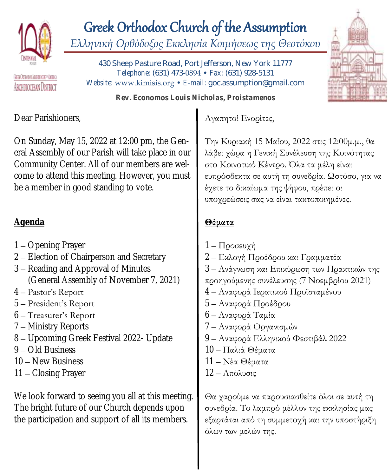

# Greek Orthodox Church of the Assumption

*Ελληνική Ορθόδοξος Εκκλησία Κοιμήσεως της Θεοτόκου*

GERANTHODOL/BOHOLOGE = AUBICA ABCHDIOCESAN DISTRICT

430 Sheep Pasture Road, Port Jefferson, New York 11777 *Telephone:* (631) 473-0894 • *Fax:* (631) 928-5131 *Website:* www.kimisis.org • *E-mail:* goc.assumption@gmail.com

*Rev. Economos Louis Nicholas, Proistamenos*

Dear Parishioners,

On Sunday, May 15, 2022 at 12:00 pm, the General Assembly of our Parish will take place in our Community Center. All of our members are welcome to attend this meeting. However, you must be a member in good standing to vote.

#### **Agenda**

- 1 Opening Prayer
- 2 Election of Chairperson and Secretary
- 3 Reading and Approval of Minutes (General Assembly of November 7, 2021)
- 4 Pastor's Report
- 5 President's Report
- 6 Treasurer's Report
- 7 Ministry Reports
- 8 Upcoming Greek Festival 2022- Update
- 9 Old Business
- 10 New Business
- 11 Closing Prayer

We look forward to seeing you all at this meeting. The bright future of our Church depends upon the participation and support of all its members.

#### Αγαπητοί Ενορίτες,

Την Κυριακή 15 Μαΐου, 2022 στις 12:00μ.μ., θα λάβει χώρα η Γενική Συνέλευση της Κοινότητας στο Κοινοτικό Κέντρο. Όλα τα μέλη είναι ευπρόσδεκτα σε αυτή τη συνεδρία. Ωστόσο, για να έχετε το δικαίωμα της ψήφου, πρέπει οι υποχρεώσεις σας να είναι τακτοποιημένες.

#### **Θέματα**

1 – Προσευχή 2 – Εκλογή Προέδρου και Γραμματέα 3 – Ανάγνωση και Επικύρωση των Πρακτικών της προηγούμενης συνέλευσης (7 Νοεμβρίου 2021) 4 – Αναφορά Ιερατικού Προϊσταμένου 5 – Αναφορά Προέδρου 6 – Αναφορά Ταμία 7 – Αναφορά Οργανισμών 9 – Αναφορά Ελληνικού Φεστιβάλ 2022 10 – Παλιά Θέματα 11 – Νέα Θέματα 12 – Απόλυσις

Θα χαρούμε να παρουσιασθείτε όλοι σε αυτή τη συνεδρία. Το λαμπρό μέλλον της εκκλησίας μας εξαρτάται από τη συμμετοχή και την υποστήριξη όλων των μελών της.

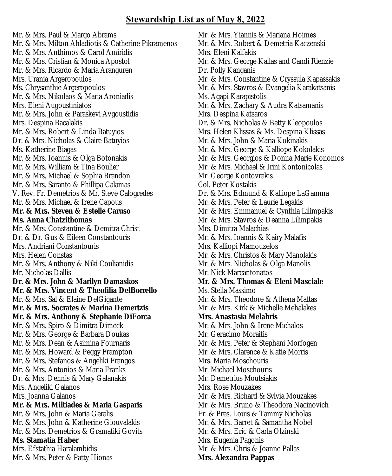#### **Stewardship List as of May 8, 2022**

Mr. & Mrs. Paul & Margo Abrams Mr. & Mrs. Milton Ahladiotis & Catherine Pikramenos Mr. & Mrs. Anthimos & Carol Amiridis Mr. & Mrs. Cristian & Monica Apostol Mr. & Mrs. Ricardo & Maria Aranguren Mrs. Urania Argeropoulos Ms. Chrysanthie Argeropoulos Mr. & Mrs. Nikolaos & Maria Aroniadis Mrs. Eleni Augoustiniatos Mr. & Mrs. John & Paraskevi Avgoustidis Mrs. Despina Bacalakis Mr. & Mrs. Robert & Linda Batuyios Dr. & Mrs. Nicholas & Claire Batuyios Ms. Katherine Biagas Mr. & Mrs. Ioannis & Olga Botonakis Mr. & Mrs. William & Tina Boulier Mr. & Mrs. Michael & Sophia Brandon Mr. & Mrs. Saranto & Phillipa Calamas V. Rev. Fr. Demetrios & Mr. Steve Calogredes Mr. & Mrs. Michael & Irene Capous **Mr. & Mrs. Steven & Estelle Caruso Ms. Anna Chatzithomas** Mr. & Mrs. Constantine & Demitra Christ Dr. & Dr. Gus & Eileen Constantouris Mrs. Andriani Constantouris Mrs. Helen Constas Mr. & Mrs. Anthony & Niki Coulianidis Mr. Nicholas Dallis **Dr. & Mrs. John & Marilyn Damaskos Mr. & Mrs. Vincent & Theofilia DelBorrello** Mr. & Mrs. Sal & Elaine DelGigante **Mr. & Mrs. Socrates & Marina Demertzis Mr. & Mrs. Anthony & Stephanie DiForca** Mr. & Mrs. Spiro & Dimitra Dimeck Mr. & Mrs. George & Barbara Doukas Mr. & Mrs. Dean & Asimina Fournaris Mr. & Mrs. Howard & Peggy Frampton Mr. & Mrs. Stefanos & Angeliki Frangos Mr. & Mrs. Antonios & Maria Franks Dr. & Mrs. Dennis & Mary Galanakis Mrs. Angeliki Galanos Mrs. Joanna Galanos **Mr. & Mrs. Miltiades & Maria Gasparis** Mr. & Mrs. John & Maria Geralis Mr. & Mrs. John & Katherine Giouvalakis Mr. & Mrs. Demetrios & Gramatiki Govits **Ms. Stamatia Haber** Mrs. Efstathia Haralambidis Mr. & Mrs. Peter & Patty Hionas

Mr. & Mrs. Yiannis & Mariana Hoimes Mr. & Mrs. Robert & Demetria Kaczenski Mrs. Eleni Kalfakis Mr. & Mrs. George Kallas and Candi Rienzie Dr. Polly Kanganis Mr. & Mrs. Constantine & Cryssula Kapassakis Mr. & Mrs. Stavros & Evangelia Karakatsanis Ms. Agapi Karapistolis Mr. & Mrs. Zachary & Audra Katsamanis Mrs. Despina Katsaros Dr. & Mrs. Nicholas & Betty Kleopoulos Mrs. Helen Klissas & Ms. Despina Klissas Mr. & Mrs. John & Maria Kokinakis Mr. & Mrs. George & Kalliope Kokolakis Mr. & Mrs. Georgios & Donna Marie Konomos Mr. & Mrs. Michael & Irini Kontonicolas Mr. George Kontovrakis Col. Peter Kostakis Dr. & Mrs. Edmund & Kalliope LaGamma Mr. & Mrs. Peter & Laurie Legakis Mr. & Mrs. Emmanuel & Cynthia Lilimpakis Mr. & Mrs. Stavros & Deanna Lilimpakis Mrs. Dimitra Malachias Mr. & Mrs. Ioannis & Kairy Malafis Mrs. Kalliopi Mamouzelos Mr. & Mrs. Christos & Mary Manolakis Mr. & Mrs. Nicholas & Olga Manolis Mr. Nick Marcantonatos **Mr. & Mrs. Thomas & Eleni Masciale** Ms. Stella Massimo Mr. & Mrs. Theodore & Athena Mattas Mr. & Mrs. Kirk & Michelle Mehalakes **Mrs. Anastasia Melahris** Mr. & Mrs. John & Irene Michalos Mr. Geracimo Moraitis Mr. & Mrs. Peter & Stephani Morfogen Mr. & Mrs. Clarence & Katie Morris Mrs. Maria Moschouris Mr. Michael Moschouris Mr. Demetrius Moutsiakis Mrs. Rose Mouzakes Mr. & Mrs. Richard & Sylvia Mouzakes Mr. & Mrs. Bruno & Theodora Nacinovich Fr. & Pres. Louis & Tammy Nicholas Mr. & Mrs. Barret & Samantha Nobel Mr. & Mrs. Eric & Carla Olzinski Mrs. Eugenia Pagonis Mr. & Mrs. Chris & Joanne Pallas **Mrs. Alexandra Pappas**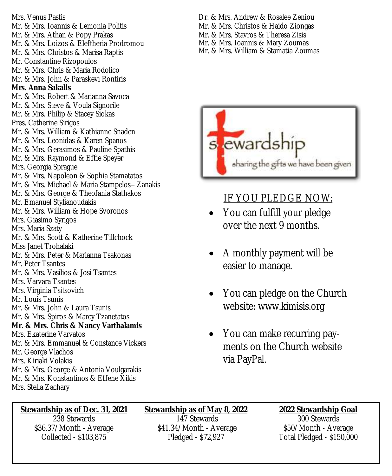Mrs. Venus Pastis Mr. & Mrs. Ioannis & Lemonia Politis Mr. & Mrs. Athan & Popy Prakas Mr. & Mrs. Loizos & Eleftheria Prodromou Mr. & Mrs. Christos & Marisa Raptis Mr. Constantine Rizopoulos Mr. & Mrs. Chris & Maria Rodolico Mr. & Mrs. John & Paraskevi Rontiris **Mrs. Anna Sakalis** Mr. & Mrs. Robert & Marianna Savoca Mr. & Mrs. Steve & Voula Signorile Mr. & Mrs. Philip & Stacey Siokas Pres. Catherine Sirigos Mr. & Mrs. William & Kathianne Snaden Mr. & Mrs. Leonidas & Karen Spanos Mr. & Mrs. Gerasimos & Pauline Spathis Mr. & Mrs. Raymond & Effie Speyer Mrs. Georgia Sprague Mr. & Mrs. Napoleon & Sophia Stamatatos Mr. & Mrs. Michael & Maria Stampelos– Zanakis Mr. & Mrs. George & Theofania Stathakos Mr. Emanuel Stylianoudakis Mr. & Mrs. William & Hope Svoronos Mrs. Giasimo Syrigos Mrs. Maria Szaty Mr. & Mrs. Scott & Katherine Tillchock Miss Janet Trohalaki Mr. & Mrs. Peter & Marianna Tsakonas Mr. Peter Tsantes Mr. & Mrs. Vasilios & Josi Tsantes Mrs. Varvara Tsantes Mrs. Virginia Tsitsovich Mr. Louis Tsunis Mr. & Mrs. John & Laura Tsunis Mr. & Mrs. Spiros & Marcy Tzanetatos **Mr. & Mrs. Chris & Nancy Varthalamis** Mrs. Ekaterine Varvatos Mr. & Mrs. Emmanuel & Constance Vickers Mr. George Vlachos Mrs. Kiriaki Volakis Mr. & Mrs. George & Antonia Voulgarakis Mr. & Mrs. Konstantinos & Effene Xikis Mrs. Stella Zachary

- Dr. & Mrs. Andrew & Rosalee Zeniou
- Mr. & Mrs. Christos & Haido Ziongas
- Mr. & Mrs. Stavros & Theresa Zisis
- Mr. & Mrs. Ioannis & Mary Zoumas
- Mr. & Mrs. William & Stamatia Zoumas



#### IF YOU PLEDGE NOW:

- You can fulfill your pledge over the next 9 months.
- A monthly payment will be easier to manage.
- You can pledge on the Church website: www.kimisis.org
- You can make recurring payments on the Church website via PayPal.

**Stewardship as of Dec. 31, 2021** 238 Stewards \$36.37/Month - Average Collected - \$103,875

**Stewardship as of May 8, 2022** 147 Stewards \$41.34/Month - Average Pledged - \$72,927

**2022 Stewardship Goal** 300 Stewards \$50/Month - Average Total Pledged - \$150,000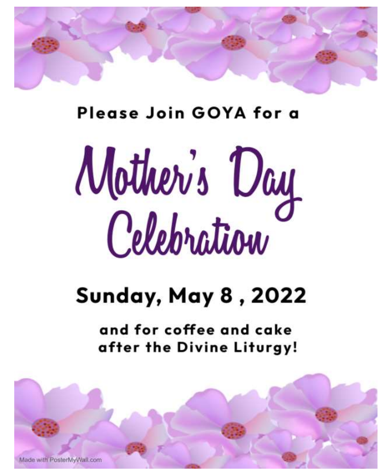

## Please Join GOYA for a

# Mother's Day

# **Sunday, May 8, 2022**

and for coffee and cake after the Divine Liturgy!

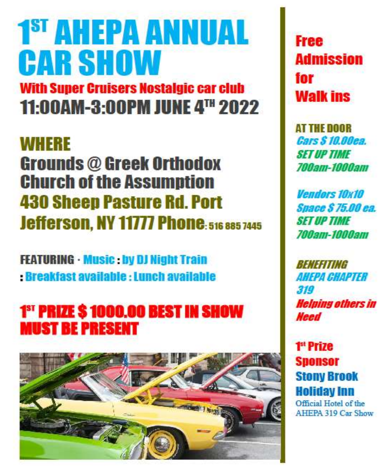# 1<sup>st</sup> AHEPA ANNUAL **CAR SHOW**

**With Super Cruisers Nostalgic car club** 11:00AM-3:00PM JUNE 4TH 2022

## **WHERE**

**Grounds @ Greek Orthodox Church of the Assumption 430 Sheep Pasture Rd. Port Jefferson, NY 11777 Phone: 516 885 7445** 

**FEATURING · Music : by DJ Night Train Breakfast available : Lunch available** 

## 1<sup>ST</sup> PRIZE \$1000.00 BEST IN SHOW **MUST BE PRESENT**



**Free Admission** for **Walk ins** 

**AT THE DOOR** Cars \$ 10.00ea. **SFT IIP TIME** *700am-1000am* 

**Vendors 10x10 Suace \$75.00 ea. SET UP TIME** *700am-1000am* 

*Reneeiting* **AHFPA CHAPTER** 319 **Helping others in Need** 

1<sup>st</sup> Prize **Sponsor Stony Brook Holiday Inn** Official Hotel of the

**AHEPA 319 Car Show**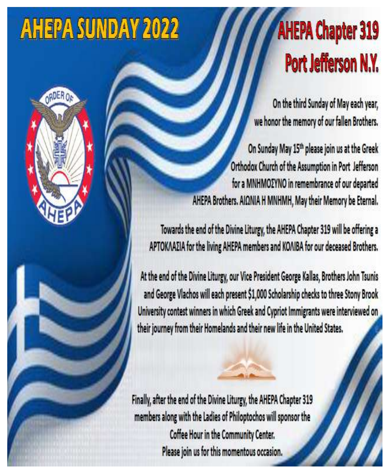# **AHEPA SUNDAY 2022**





On the third Sunday of May each year, we honor the memory of our fallen Brothers.

On Sunday May 15th please join us at the Greek Orthodox Church of the Assumption in Port Jefferson for a MNHMOZYNO in remembrance of our departed AHEPA Brothers. AIΩNIA H MNHMH, May their Memory be Eternal.

Towards the end of the Divine Liturgy, the AHEPA Chapter 319 will be offering a APTOKAAΣIA for the living AHEPA members and KOAIBA for our deceased Brothers.

At the end of the Divine Liturgy, our Vice President George Kallas, Brothers John Tsunis and George Vlachos will each present \$1,000 Scholarship checks to three Stony Brook University contest winners in which Greek and Cypriot Immigrants were interviewed on their journey from their Homelands and their new life in the United States.

Finally, after the end of the Divine Liturgy, the AHEPA Chapter 319 members along with the Ladies of Philoptochos will sponsor the Coffee Hour in the Community Center. Please join us for this momentous occasion.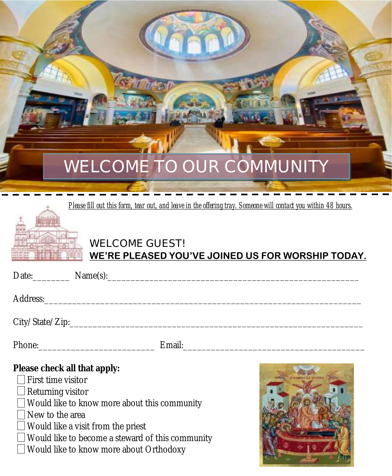

*Please fill out this form, tear out, and leave in the offering tray. Someone will contact you within 48 hours.*



#### **WELCOME GUEST! WE'RE PLEASED YOU'VE JOINED US FOR WORSHIP TODAY.**

| Address: Address: |        |
|-------------------|--------|
|                   |        |
| Phone:            | Email: |

**Please check all that apply:**

First time visitor

Returning visitor

Would like to know more about this community

New to the area

 $\Box$  Would like a visit from the priest

 $\Box$  Would like to become a steward of this community

□ Would like to know more about Orthodoxy